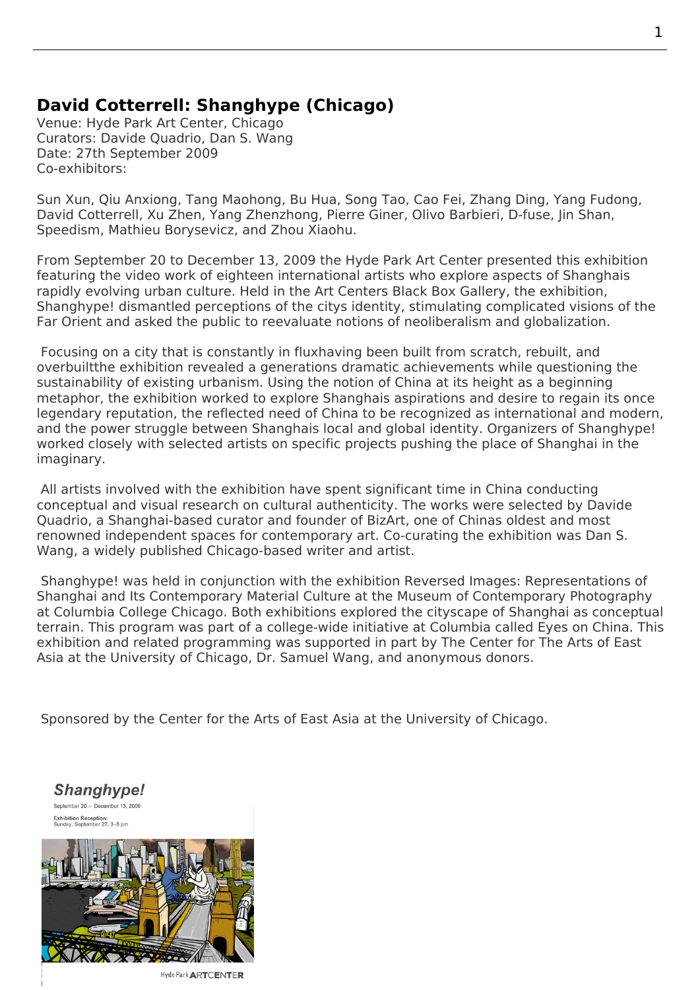## **David Cotterrell: Shanghype (Chicago)**

Venue: Hyde Park Art Center, Chicago Curators: Davide Quadrio, Dan S. Wang Date: 27th September 2009 Co-exhibitors:

Sun Xun, Qiu Anxiong, Tang Maohong, Bu Hua, Song Tao, Cao Fei, Zhang Ding, Yang Fudong, David Cotterrell, Xu Zhen, Yang Zhenzhong, Pierre Giner, Olivo Barbieri, D-fuse, Jin Shan, Speedism, Mathieu Borysevicz, and Zhou Xiaohu.

From September 20 to December 13, 2009 the Hyde Park Art Center presented this exhibition featuring the video work of eighteen international artists who explore aspects of Shanghais rapidly evolving urban culture. Held in the Art Centers Black Box Gallery, the exhibition, Shanghype! dismantled perceptions of the citys identity, stimulating complicated visions of the Far Orient and asked the public to reevaluate n[otions of neoliberalism](http://www.hydeparkart.org/exhibitions/2009/09/shanghype.php) and globalization.

 Focusing on a city that is constantly in fluxhaving been built from scratch, rebuilt, and overbuiltthe exhibition revealed a generations dramatic achievements while questioning the sustainability of existing urbanism. Using the notion of China at its height as a beginning metaphor, the exhibition worked to explore Shanghais aspirations and desire to regain its once legendary reputation, the reflected need of China to be recognized as international and modern, and the power struggle between Shanghais local and global identity. Organizers of Shanghype! worked closely with selected artists on specific projects pushing the place of Shanghai in the imaginary.

 All artists involved with the exhibition have spent significant time in China conducting conceptual and visual research on cultural authenticity. The works were selected by Davide Quadrio, a Shanghai-based curator and founder of BizArt, one of Chinas oldest and most renowned independent spaces for contemporary art. Co-curating the exhibition was Dan S. Wang, a widely published Chicago-based writer and artist.

 Shanghype! was held in conjunction with the exhibition Reversed Images: Representations of Shanghai and Its Contemporary Material Culture at the Museum of Contemporary Photography at Columbia College Chicago. Both exhibitions explored the cityscape of Shanghai as conceptual terrain. This program was part of a college-wide initiative at Columbia called Eyes on China. This exhibition and related programming was supported in p[art by The Center for The Arts of East](http://www.cotterrell.com/exhibitions/4429/reversed-images-representations-of-shanghai-and-its-contemporary-material-culture/) [Asia at the University of Chicago, Dr. Samuel Wa](http://www.cotterrell.com/exhibitions/4429/reversed-images-representations-of-shanghai-and-its-contemporary-material-culture/)ng, and anonymous donors.

Sponsored by the Center for the Arts of East Asia at the University of Chicago.

Shanghype! September 20 - December 13, 2009 Exhibition Reception:<br>Sunday, September 27, 3-5 pm



Hyde Park ARTCENTER